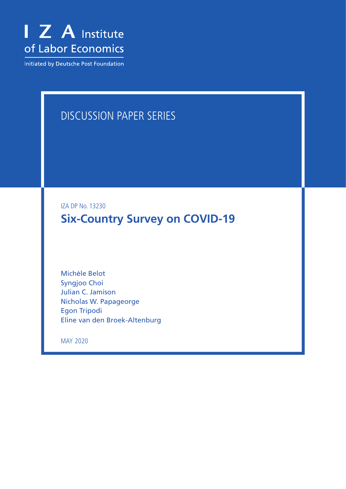

Initiated by Deutsche Post Foundation

# DISCUSSION PAPER SERIES

IZA DP No. 13230

**Six-Country Survey on COVID-19**

Michèle Belot Syngjoo Choi Julian C. Jamison Nicholas W. Papageorge Egon Tripodi Eline van den Broek-Altenburg

MAY 2020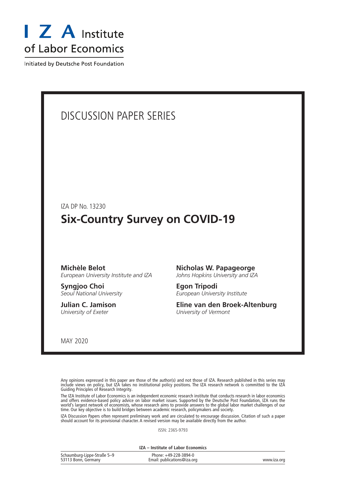

Initiated by Deutsche Post Foundation

# DISCUSSION PAPER SERIES

IZA DP No. 13230

# **Six-Country Survey on COVID-19**

#### **Michèle Belot** *European University Institute and IZA*

**Syngjoo Choi** *Seoul National University*

**Julian C. Jamison** *University of Exeter*

### **Nicholas W. Papageorge**

*Johns Hopkins University and IZA*

**Egon Tripodi** *European University Institute*

**Eline van den Broek-Altenburg** *University of Vermont*

MAY 2020

Any opinions expressed in this paper are those of the author(s) and not those of IZA. Research published in this series may include views on policy, but IZA takes no institutional policy positions. The IZA research network is committed to the IZA Guiding Principles of Research Integrity.

The IZA Institute of Labor Economics is an independent economic research institute that conducts research in labor economics and offers evidence-based policy advice on labor market issues. Supported by the Deutsche Post Foundation, IZA runs the world's largest network of economists, whose research aims to provide answers to the global labor market challenges of our time. Our key objective is to build bridges between academic research, policymakers and society.

IZA Discussion Papers often represent preliminary work and are circulated to encourage discussion. Citation of such a paper should account for its provisional character. A revised version may be available directly from the author.

ISSN: 2365-9793

**IZA – Institute of Labor Economics**

| Schaumburg-Lippe-Straße 5-9 | Phone: +49-228-3894-0       |             |
|-----------------------------|-----------------------------|-------------|
| 53113 Bonn, Germany         | Email: publications@iza.org | www.iza.org |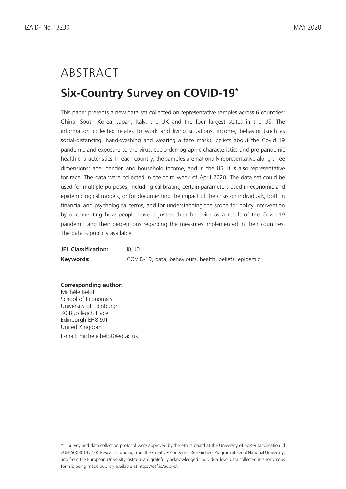# ABSTRACT

# **Six-Country Survey on COVID-19\***

This paper presents a new data set collected on representative samples across 6 countries: China, South Korea, Japan, Italy, the UK and the four largest states in the US. The information collected relates to work and living situations, income, behavior (such as social-distancing, hand-washing and wearing a face mask), beliefs about the Covid 19 pandemic and exposure to the virus, socio-demographic characteristics and pre-pandemic health characteristics. In each country, the samples are nationally representative along three dimensions: age, gender, and household income, and in the US, it is also representative for race. The data were collected in the third week of April 2020. The data set could be used for multiple purposes, including calibrating certain parameters used in economic and epidemiological models, or for documenting the impact of the crisis on individuals, both in financial and psychological terms, and for understanding the scope for policy intervention by documenting how people have adjusted their behavior as a result of the Covid-19 pandemic and their perceptions regarding the measures implemented in their countries. The data is publicly available.

| <b>JEL Classification:</b> | 10. 10                                                |
|----------------------------|-------------------------------------------------------|
| Keywords:                  | COVID-19, data, behaviours, health, beliefs, epidemic |

**Corresponding author:** Michèle Belot School of Economics University of Edinburgh 30 Buccleuch Place Edinburgh EH8 9JT United Kingdom E-mail: michele.belot@ed.ac.uk

<sup>\*</sup> Survey and data collection protocol were approved by the ethics board at the University of Exeter (application id eUEBS003014v2.0). Research funding from the Creative-Pioneering Researchers Program at Seoul National University, and from the European University Institute are gratefully acknowledged. Individual level data collected in anonymous form is being made publicly available at https://osf.io/aubkc/.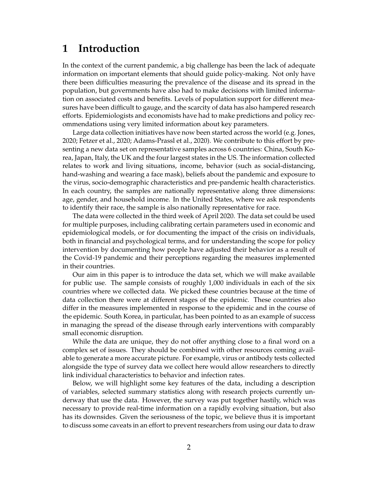## **1 Introduction**

In the context of the current pandemic, a big challenge has been the lack of adequate information on important elements that should guide policy-making. Not only have there been difficulties measuring the prevalence of the disease and its spread in the population, but governments have also had to make decisions with limited information on associated costs and benefits. Levels of population support for different measures have been difficult to gauge, and the scarcity of data has also hampered research efforts. Epidemiologists and economists have had to make predictions and policy recommendations using very limited information about key parameters.

Large data collection initiatives have now been started across the world (e.g. [Jones,](#page-16-0) [2020;](#page-16-0) [Fetzer et al.,](#page-16-1) [2020;](#page-16-1) [Adams-Prassl et al.,](#page-16-2) [2020\)](#page-16-2). We contribute to this effort by presenting a new data set on representative samples across 6 countries: China, South Korea, Japan, Italy, the UK and the four largest states in the US. The information collected relates to work and living situations, income, behavior (such as social-distancing, hand-washing and wearing a face mask), beliefs about the pandemic and exposure to the virus, socio-demographic characteristics and pre-pandemic health characteristics. In each country, the samples are nationally representative along three dimensions: age, gender, and household income. In the United States, where we ask respondents to identify their race, the sample is also nationally representative for race.

The data were collected in the third week of April 2020. The data set could be used for multiple purposes, including calibrating certain parameters used in economic and epidemiological models, or for documenting the impact of the crisis on individuals, both in financial and psychological terms, and for understanding the scope for policy intervention by documenting how people have adjusted their behavior as a result of the Covid-19 pandemic and their perceptions regarding the measures implemented in their countries.

Our aim in this paper is to introduce the data set, which we will make available for public use. The sample consists of roughly 1,000 individuals in each of the six countries where we collected data. We picked these countries because at the time of data collection there were at different stages of the epidemic. These countries also differ in the measures implemented in response to the epidemic and in the course of the epidemic. South Korea, in particular, has been pointed to as an example of success in managing the spread of the disease through early interventions with comparably small economic disruption.

While the data are unique, they do not offer anything close to a final word on a complex set of issues. They should be combined with other resources coming available to generate a more accurate picture. For example, virus or antibody tests collected alongside the type of survey data we collect here would allow researchers to directly link individual characteristics to behavior and infection rates.

Below, we will highlight some key features of the data, including a description of variables, selected summary statistics along with research projects currently underway that use the data. However, the survey was put together hastily, which was necessary to provide real-time information on a rapidly evolving situation, but also has its downsides. Given the seriousness of the topic, we believe thus it is important to discuss some caveats in an effort to prevent researchers from using our data to draw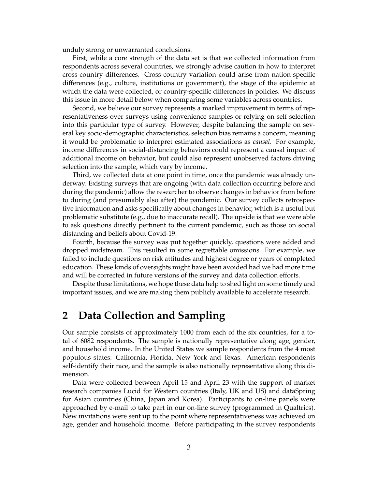unduly strong or unwarranted conclusions.

First, while a core strength of the data set is that we collected information from respondents across several countries, we strongly advise caution in how to interpret cross-country differences. Cross-country variation could arise from nation-specific differences (e.g., culture, institutions or government), the stage of the epidemic at which the data were collected, or country-specific differences in policies. We discuss this issue in more detail below when comparing some variables across countries.

Second, we believe our survey represents a marked improvement in terms of representativeness over surveys using convenience samples or relying on self-selection into this particular type of survey. However, despite balancing the sample on several key socio-demographic characteristics, selection bias remains a concern, meaning it would be problematic to interpret estimated associations as *causal*. For example, income differences in social-distancing behaviors could represent a causal impact of additional income on behavior, but could also represent unobserved factors driving selection into the sample, which vary by income.

Third, we collected data at one point in time, once the pandemic was already underway. Existing surveys that are ongoing (with data collection occurring before and during the pandemic) allow the researcher to observe changes in behavior from before to during (and presumably also after) the pandemic. Our survey collects retrospective information and asks specifically about changes in behavior, which is a useful but problematic substitute (e.g., due to inaccurate recall). The upside is that we were able to ask questions directly pertinent to the current pandemic, such as those on social distancing and beliefs about Covid-19.

Fourth, because the survey was put together quickly, questions were added and dropped midstream. This resulted in some regrettable omissions. For example, we failed to include questions on risk attitudes and highest degree or years of completed education. These kinds of oversights might have been avoided had we had more time and will be corrected in future versions of the survey and data collection efforts.

Despite these limitations, we hope these data help to shed light on some timely and important issues, and we are making them publicly available to accelerate research.

## **2 Data Collection and Sampling**

Our sample consists of approximately 1000 from each of the six countries, for a total of 6082 respondents. The sample is nationally representative along age, gender, and household income. In the United States we sample respondents from the 4 most populous states: California, Florida, New York and Texas. American respondents self-identify their race, and the sample is also nationally representative along this dimension.

Data were collected between April 15 and April 23 with the support of market research companies Lucid for Western countries (Italy, UK and US) and dataSpring for Asian countries (China, Japan and Korea). Participants to on-line panels were approached by e-mail to take part in our on-line survey (programmed in Qualtrics). New invitations were sent up to the point where representativeness was achieved on age, gender and household income. Before participating in the survey respondents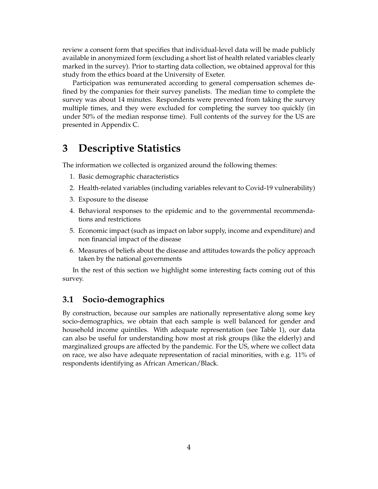review a consent form that specifies that individual-level data will be made publicly available in anonymized form (excluding a short list of health related variables clearly marked in the survey). Prior to starting data collection, we obtained approval for this study from the ethics board at the University of Exeter.

Participation was remunerated according to general compensation schemes defined by the companies for their survey panelists. The median time to complete the survey was about 14 minutes. Respondents were prevented from taking the survey multiple times, and they were excluded for completing the survey too quickly (in under 50% of the median response time). Full contents of the survey for the US are presented in [Appendix C.](#page-22-0)

## **3 Descriptive Statistics**

The information we collected is organized around the following themes:

- 1. Basic demographic characteristics
- 2. Health-related variables (including variables relevant to Covid-19 vulnerability)
- 3. Exposure to the disease
- 4. Behavioral responses to the epidemic and to the governmental recommendations and restrictions
- 5. Economic impact (such as impact on labor supply, income and expenditure) and non financial impact of the disease
- 6. Measures of beliefs about the disease and attitudes towards the policy approach taken by the national governments

In the rest of this section we highlight some interesting facts coming out of this survey.

#### **3.1 Socio-demographics**

By construction, because our samples are nationally representative along some key socio-demographics, we obtain that each sample is well balanced for gender and household income quintiles. With adequate representation (see [Table 1\)](#page-6-0), our data can also be useful for understanding how most at risk groups (like the elderly) and marginalized groups are affected by the pandemic. For the US, where we collect data on race, we also have adequate representation of racial minorities, with e.g. 11% of respondents identifying as African American/Black.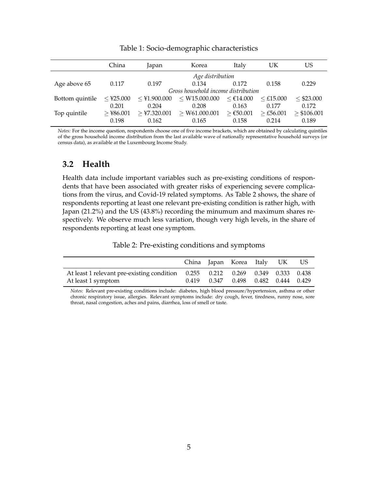<span id="page-6-0"></span>

|                 | China                | Japan                   | Korea                               | Italy                | UΚ                      | US                     |
|-----------------|----------------------|-------------------------|-------------------------------------|----------------------|-------------------------|------------------------|
|                 |                      |                         | Age distribution                    |                      |                         |                        |
| Age above 65    | 0.117                | 0.197                   | 0.134                               | 0.172                | 0.158                   | 0.229                  |
|                 |                      |                         | Gross household income distribution |                      |                         |                        |
| Bottom quintile | $\leq$ ¥25.000       | $\leq$ ¥1.900.000       | $<$ \times 15.000.000               | $<$ €14.000          | $<$ £15.000             | < \$23.000             |
|                 | 0.201                | 0.204                   | 0.208                               | 0.163                | 0.177                   | 0.172                  |
| Top quintile    | $>$ ¥86.001<br>0.198 | $>$ ¥7.320.001<br>0.162 | $>$ ₩61.000.001<br>0.165            | $≥$ €50.001<br>0.158 | $\geq$ £56.001<br>0.214 | $>$ \$106.001<br>0.189 |

Table 1: Socio-demographic characteristics

*Notes:* For the income question, respondents choose one of five income brackets, which are obtained by calculating quintiles of the gross household income distribution from the last available wave of nationally representative household surveys (or census data), as available at the Luxembourg Income Study.

#### **3.2 Health**

Health data include important variables such as pre-existing conditions of respondents that have been associated with greater risks of experiencing severe complications from the virus, and Covid-19 related symptoms. As [Table 2](#page-6-1) shows, the share of respondents reporting at least one relevant pre-existing condition is rather high, with Japan (21.2%) and the US (43.8%) recording the minumum and maximum shares respectively. We observe much less variation, though very high levels, in the share of respondents reporting at least one symptom.

Table 2: Pre-existing conditions and symptoms

<span id="page-6-1"></span>

|                                                                                |       | China Japan Korea Italy UK              |  | US. |
|--------------------------------------------------------------------------------|-------|-----------------------------------------|--|-----|
| At least 1 relevant pre-existing condition 0.255 0.212 0.269 0.349 0.333 0.438 |       |                                         |  |     |
| At least 1 symptom                                                             | 0.419 | $0.347$ $0.498$ $0.482$ $0.444$ $0.429$ |  |     |

*Notes:* Relevant pre-existing conditions include: diabetes, high blood pressure/hypertension, asthma or other chronic respiratory issue, allergies. Relevant symptoms include: dry cough, fever, tiredness, runny nose, sore throat, nasal congestion, aches and pains, diarrhea, loss of smell or taste.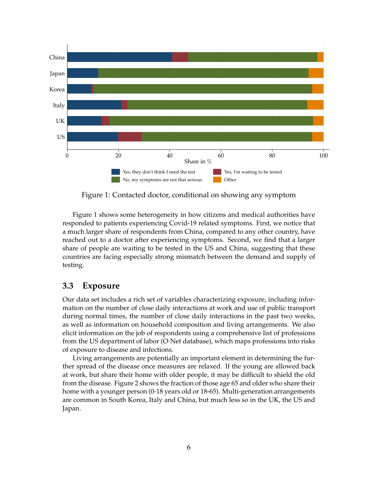<span id="page-7-0"></span>

Figure 1: Contacted doctor, conditional on showing any symptom

[Figure 1](#page-7-0) shows some heterogeneity in how citizens and medical authorities have responded to patients experiencing Covid-19 related symptoms. First, we notice that a much larger share of respondents from China, compared to any other country, have reached out to a doctor after experiencing symptoms. Second, we find that a larger share of people are waiting to be tested in the US and China, suggesting that these countries are facing especially strong mismatch between the demand and supply of testing.

#### **3.3 Exposure**

Our data set includes a rich set of variables characterizing exposure, including information on the number of close daily interactions at work and use of public transport during normal times, the number of close daily interactions in the past two weeks, as well as information on household composition and living arrangements. We also elicit information on the job of respondents using a comprehensive list of professions from the US department of labor (O·Net database), which maps professions into risks of exposure to disease and infections.

Living arrangements are potentially an important element in determining the further spread of the disease once measures are relaxed. If the young are allowed back at work, but share their home with older people, it may be difficult to shield the old from the disease. [Figure 2](#page-8-0) shows the fraction of those age 65 and older who share their home with a younger person (0-18 years old or 18-65). Multi-generation arrangements are common in South Korea, Italy and China, but much less so in the UK, the US and Japan.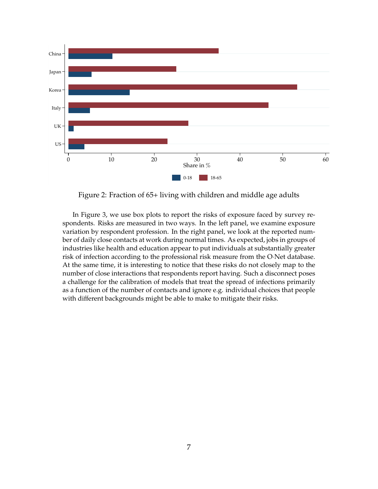<span id="page-8-0"></span>

Figure 2: Fraction of 65+ living with children and middle age adults

In [Figure 3,](#page-9-0) we use box plots to report the risks of exposure faced by survey respondents. Risks are measured in two ways. In the left panel, we examine exposure variation by respondent profession. In the right panel, we look at the reported number of daily close contacts at work during normal times. As expected, jobs in groups of industries like health and education appear to put individuals at substantially greater risk of infection according to the professional risk measure from the O·Net database. At the same time, it is interesting to notice that these risks do not closely map to the number of close interactions that respondents report having. Such a disconnect poses a challenge for the calibration of models that treat the spread of infections primarily as a function of the number of contacts and ignore e.g. individual choices that people with different backgrounds might be able to make to mitigate their risks.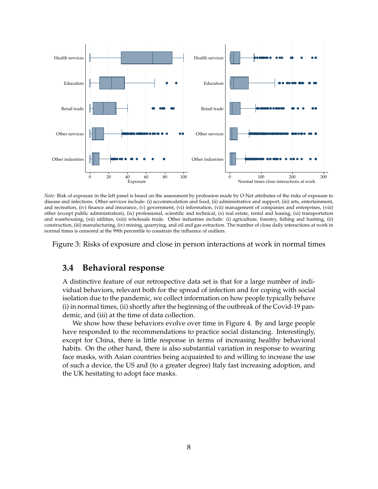<span id="page-9-0"></span>

*Note:* Risk of exposure in the left panel is based on the assessment by profession made by O·Net attributes of the risks of exposure to disease and infections. Other services include: (i) accommodation and food, (ii) administrative and support, (iii) arts, entertainment, and recreation, (iv) finance and insurance, (v) government, (vi) information, (vii) management of companies and enterprises, (viii) other (except public administration), (ix) professional, scientific and technical, (x) real estate, rental and leasing, (xi) transportation and warehousing, (xii) utilities, (xiii) wholesale trade. Other industries include: (i) agriculture, forestry, fishing and hunting, (ii) construction, (iii) manufacturing, (iv) mining, quarrying, and oil and gas extraction. The number of close daily interactions at work in normal times is censored at the 99th percentile to constrain the influence of outliers.

Figure 3: Risks of exposure and close in person interactions at work in normal times

#### **3.4 Behavioral response**

A distinctive feature of our retrospective data set is that for a large number of individual behaviors, relevant both for the spread of infection and for coping with social isolation due to the pandemic, we collect information on how people typically behave (i) in normal times, (ii) shortly after the beginning of the outbreak of the Covid-19 pandemic, and (iii) at the time of data collection.

We show how these behaviors evolve over time in [Figure 4.](#page-10-0) By and large people have responded to the recommendations to practice social distancing. Interestingly, except for China, there is little response in terms of increasing healthy behavioral habits. On the other hand, there is also substantial variation in response to wearing face masks, with Asian countries being acquainted to and willing to increase the use of such a device, the US and (to a greater degree) Italy fast increasing adoption, and the UK hesitating to adopt face masks.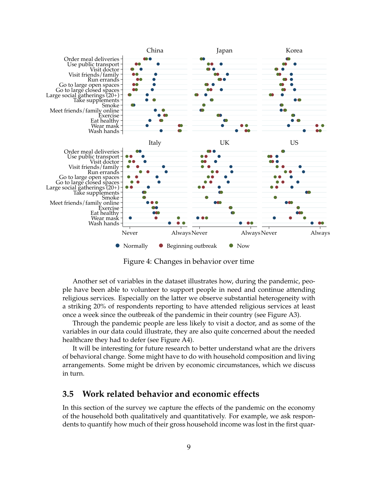<span id="page-10-0"></span>

Figure 4: Changes in behavior over time

Another set of variables in the dataset illustrates how, during the pandemic, people have been able to volunteer to support people in need and continue attending religious services. Especially on the latter we observe substantial heterogeneity with a striking 20% of respondents reporting to have attended religious services at least once a week since the outbreak of the pandemic in their country (see [Figure A3\)](#page-20-0).

Through the pandemic people are less likely to visit a doctor, and as some of the variables in our data could illustrate, they are also quite concerned about the needed healthcare they had to defer (see [Figure A4\)](#page-21-0).

It will be interesting for future research to better understand what are the drivers of behavioral change. Some might have to do with household composition and living arrangements. Some might be driven by economic circumstances, which we discuss in turn.

#### **3.5 Work related behavior and economic effects**

In this section of the survey we capture the effects of the pandemic on the economy of the household both qualitatively and quantitatively. For example, we ask respondents to quantify how much of their gross household income was lost in the first quar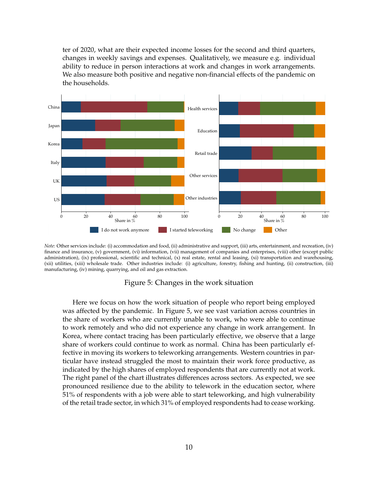ter of 2020, what are their expected income losses for the second and third quarters, changes in weekly savings and expenses. Qualitatively, we measure e.g. individual ability to reduce in person interactions at work and changes in work arrangements. We also measure both positive and negative non-financial effects of the pandemic on the households.

<span id="page-11-0"></span>

*Note:* Other services include: (i) accommodation and food, (ii) administrative and support, (iii) arts, entertainment, and recreation, (iv) finance and insurance, (v) government, (vi) information, (vii) management of companies and enterprises, (viii) other (except public administration), (ix) professional, scientific and technical, (x) real estate, rental and leasing, (xi) transportation and warehousing, (xii) utilities, (xiii) wholesale trade. Other industries include: (i) agriculture, forestry, fishing and hunting, (ii) construction, (iii) manufacturing, (iv) mining, quarrying, and oil and gas extraction.

#### Figure 5: Changes in the work situation

Here we focus on how the work situation of people who report being employed was affected by the pandemic. In [Figure 5,](#page-11-0) we see vast variation across countries in the share of workers who are currently unable to work, who were able to continue to work remotely and who did not experience any change in work arrangement. In Korea, where contact tracing has been particularly effective, we observe that a large share of workers could continue to work as normal. China has been particularly effective in moving its workers to teleworking arrangements. Western countries in particular have instead struggled the most to maintain their work force productive, as indicated by the high shares of employed respondents that are currently not at work. The right panel of the chart illustrates differences across sectors. As expected, we see pronounced resilience due to the ability to telework in the education sector, where 51% of respondents with a job were able to start teleworking, and high vulnerability of the retail trade sector, in which 31% of employed respondents had to cease working.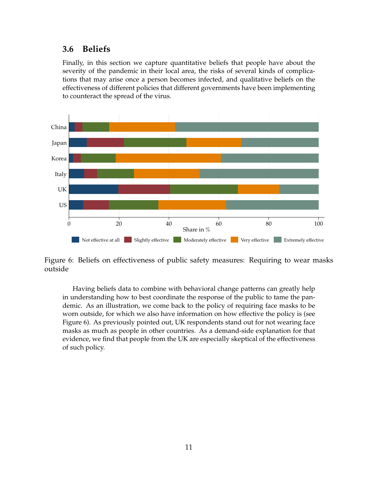#### **3.6 Beliefs**

Finally, in this section we capture quantitative beliefs that people have about the severity of the pandemic in their local area, the risks of several kinds of complications that may arise once a person becomes infected, and qualitative beliefs on the effectiveness of different policies that different governments have been implementing to counteract the spread of the virus.

<span id="page-12-0"></span>

Figure 6: Beliefs on effectiveness of public safety measures: Requiring to wear masks outside

Having beliefs data to combine with behavioral change patterns can greatly help in understanding how to best coordinate the response of the public to tame the pandemic. As an illustration, we come back to the policy of requiring face masks to be worn outside, for which we also have information on how effective the policy is (see [Figure 6\)](#page-12-0). As previously pointed out, UK respondents stand out for not wearing face masks as much as people in other countries. As a demand-side explanation for that evidence, we find that people from the UK are especially skeptical of the effectiveness of such policy.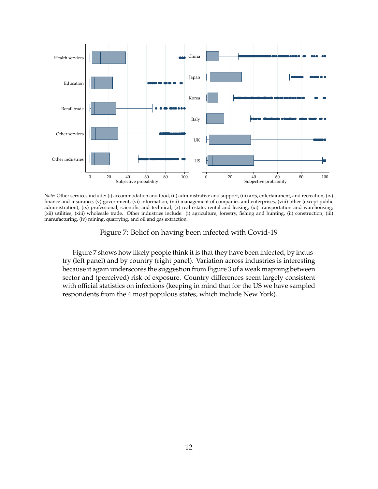<span id="page-13-0"></span>

*Note:* Other services include: (i) accommodation and food, (ii) administrative and support, (iii) arts, entertainment, and recreation, (iv) finance and insurance, (v) government, (vi) information, (vii) management of companies and enterprises, (viii) other (except public administration), (ix) professional, scientific and technical, (x) real estate, rental and leasing, (xi) transportation and warehousing, (xii) utilities, (xiii) wholesale trade. Other industries include: (i) agriculture, forestry, fishing and hunting, (ii) construction, (iii) manufacturing, (iv) mining, quarrying, and oil and gas extraction.

Figure 7: Belief on having been infected with Covid-19

[Figure 7](#page-13-0) shows how likely people think it is that they have been infected, by industry (left panel) and by country (right panel). Variation across industries is interesting because it again underscores the suggestion from [Figure 3](#page-9-0) of a weak mapping between sector and (perceived) risk of exposure. Country differences seem largely consistent with official statistics on infections (keeping in mind that for the US we have sampled respondents from the 4 most populous states, which include New York).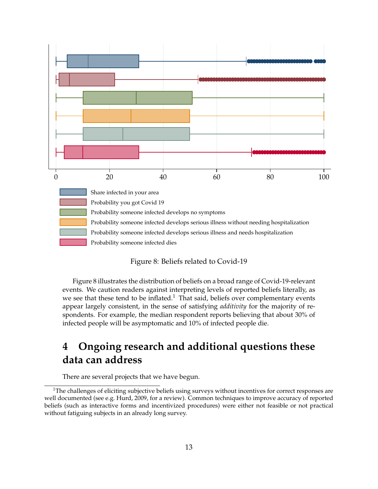<span id="page-14-0"></span>

#### Figure 8: Beliefs related to Covid-19

[Figure 8](#page-14-0) illustrates the distribution of beliefs on a broad range of Covid-19-relevant events. We caution readers against interpreting levels of reported beliefs literally, as we see that these tend to be inflated.<sup>[1](#page-14-1)</sup> That said, beliefs over complementary events appear largely consistent, in the sense of satisfying *additivity* for the majority of respondents. For example, the median respondent reports believing that about 30% of infected people will be asymptomatic and 10% of infected people die.

# **4 Ongoing research and additional questions these data can address**

There are several projects that we have begun.

<span id="page-14-1"></span> $1$ The challenges of eliciting subjective beliefs using surveys without incentives for correct responses are well documented (see e.g. [Hurd,](#page-16-3) [2009,](#page-16-3) for a review). Common techniques to improve accuracy of reported beliefs (such as interactive forms and incentivized procedures) were either not feasible or not practical without fatiguing subjects in an already long survey.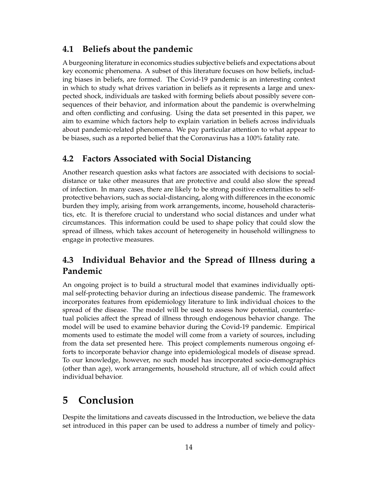#### **4.1 Beliefs about the pandemic**

A burgeoning literature in economics studies subjective beliefs and expectations about key economic phenomena. A subset of this literature focuses on how beliefs, including biases in beliefs, are formed. The Covid-19 pandemic is an interesting context in which to study what drives variation in beliefs as it represents a large and unexpected shock, individuals are tasked with forming beliefs about possibly severe consequences of their behavior, and information about the pandemic is overwhelming and often conflicting and confusing. Using the data set presented in this paper, we aim to examine which factors help to explain variation in beliefs across individuals about pandemic-related phenomena. We pay particular attention to what appear to be biases, such as a reported belief that the Coronavirus has a 100% fatality rate.

#### **4.2 Factors Associated with Social Distancing**

Another research question asks what factors are associated with decisions to socialdistance or take other measures that are protective and could also slow the spread of infection. In many cases, there are likely to be strong positive externalities to selfprotective behaviors, such as social-distancing, along with differences in the economic burden they imply, arising from work arrangements, income, household characteristics, etc. It is therefore crucial to understand who social distances and under what circumstances. This information could be used to shape policy that could slow the spread of illness, which takes account of heterogeneity in household willingness to engage in protective measures.

## **4.3 Individual Behavior and the Spread of Illness during a Pandemic**

An ongoing project is to build a structural model that examines individually optimal self-protecting behavior during an infectious disease pandemic. The framework incorporates features from epidemiology literature to link individual choices to the spread of the disease. The model will be used to assess how potential, counterfactual policies affect the spread of illness through endogenous behavior change. The model will be used to examine behavior during the Covid-19 pandemic. Empirical moments used to estimate the model will come from a variety of sources, including from the data set presented here. This project complements numerous ongoing efforts to incorporate behavior change into epidemiological models of disease spread. To our knowledge, however, no such model has incorporated socio-demographics (other than age), work arrangements, household structure, all of which could affect individual behavior.

## **5 Conclusion**

Despite the limitations and caveats discussed in the Introduction, we believe the data set introduced in this paper can be used to address a number of timely and policy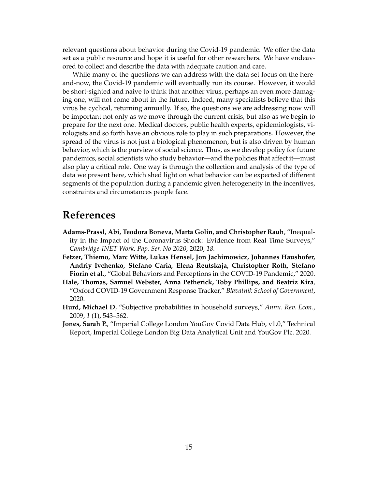relevant questions about behavior during the Covid-19 pandemic. We offer the data set as a public resource and hope it is useful for other researchers. We have endeavored to collect and describe the data with adequate caution and care.

While many of the questions we can address with the data set focus on the hereand-now, the Covid-19 pandemic will eventually run its course. However, it would be short-sighted and naive to think that another virus, perhaps an even more damaging one, will not come about in the future. Indeed, many specialists believe that this virus be cyclical, returning annually. If so, the questions we are addressing now will be important not only as we move through the current crisis, but also as we begin to prepare for the next one. Medical doctors, public health experts, epidemiologists, virologists and so forth have an obvious role to play in such preparations. However, the spread of the virus is not just a biological phenomenon, but is also driven by human behavior, which is the purview of social science. Thus, as we develop policy for future pandemics, social scientists who study behavior—and the policies that affect it—must also play a critical role. One way is through the collection and analysis of the type of data we present here, which shed light on what behavior can be expected of different segments of the population during a pandemic given heterogeneity in the incentives, constraints and circumstances people face.

## **References**

- <span id="page-16-2"></span>**Adams-Prassl, Abi, Teodora Boneva, Marta Golin, and Christopher Rauh**, "Inequality in the Impact of the Coronavirus Shock: Evidence from Real Time Surveys," *Cambridge-INET Work. Pap. Ser. No 2020*, 2020, *18.*
- <span id="page-16-1"></span>**Fetzer, Thiemo, Marc Witte, Lukas Hensel, Jon Jachimowicz, Johannes Haushofer, Andriy Ivchenko, Stefano Caria, Elena Reutskaja, Christopher Roth, Stefano Fiorin et al.**, "Global Behaviors and Perceptions in the COVID-19 Pandemic," 2020.
- <span id="page-16-4"></span>**Hale, Thomas, Samuel Webster, Anna Petherick, Toby Phillips, and Beatriz Kira**, "Oxford COVID-19 Government Response Tracker," *Blavatnik School of Government*, 2020.
- <span id="page-16-3"></span>**Hurd, Michael D**, "Subjective probabilities in household surveys," *Annu. Rev. Econ.*, 2009, *1* (1), 543–562.
- <span id="page-16-0"></span>**Jones, Sarah P.**, "Imperial College London YouGov Covid Data Hub, v1.0," Technical Report, Imperial College London Big Data Analytical Unit and YouGov Plc. 2020.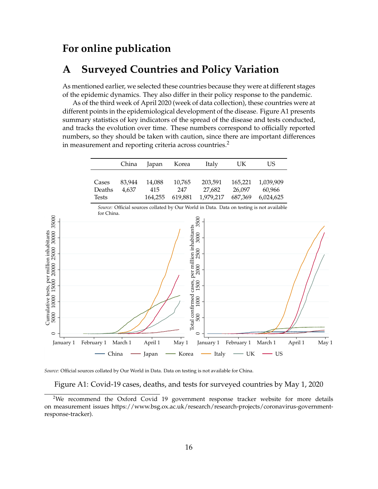## **For online publication**

## **A Surveyed Countries and Policy Variation**

As mentioned earlier, we selected these countries because they were at different stages of the epidemic dynamics. They also differ in their policy response to the pandemic.

As of the third week of April 2020 (week of data collection), these countries were at different points in the epidemiological development of the disease. [Figure A1](#page-17-0) presents summary statistics of key indicators of the spread of the disease and tests conducted, and tracks the evolution over time. These numbers correspond to officially reported numbers, so they should be taken with caution, since there are important differences in measurement and reporting criteria across countries.<sup>[2](#page-17-1)</sup>

<span id="page-17-0"></span>

|                                                                                                                  |                                 | China           | Japan                    | Korea                                                                                                      | Italy                                                                                    | UK                           | <b>US</b>                        |         |       |
|------------------------------------------------------------------------------------------------------------------|---------------------------------|-----------------|--------------------------|------------------------------------------------------------------------------------------------------------|------------------------------------------------------------------------------------------|------------------------------|----------------------------------|---------|-------|
|                                                                                                                  | Cases<br>Deaths<br><b>Tests</b> | 83,944<br>4,637 | 14,088<br>415<br>164,255 | 10,765<br>247<br>619,881                                                                                   | 203,591<br>27,682<br>1,979,217                                                           | 165,221<br>26,097<br>687,369 | 1,039,909<br>60,966<br>6,024,625 |         |       |
|                                                                                                                  | for China.                      |                 |                          |                                                                                                            | Source: Official sources collated by Our World in Data. Data on testing is not available |                              |                                  |         |       |
| 35000<br>Cumulative tests, per million inhabitants<br>5000 10000 15000 20000 25000 30000<br>$\circ$<br>January 1 | February 1                      | March 1         | April 1                  | Total confirmed cases, per million inhabitants<br>$500$ $1000$ $1500$ $2000$ $2500$ $3000$ $3500$<br>May 1 | $\circ$<br>January 1                                                                     | February 1                   | March 1                          | April 1 | May 1 |
|                                                                                                                  | China                           |                 | Japan                    | Korea                                                                                                      | Italy                                                                                    | UK                           | $-$ US                           |         |       |

*Source:* Official sources collated by Our World in Data. Data on testing is not available for China.

Figure A1: Covid-19 cases, deaths, and tests for surveyed countries by May 1, 2020

<span id="page-17-1"></span><sup>&</sup>lt;sup>2</sup>We recommend the Oxford Covid 19 government response tracker website for more details on measurement issues https://www.bsg.ox.ac.uk/research/research-projects/coronavirus-governmentresponse-tracker).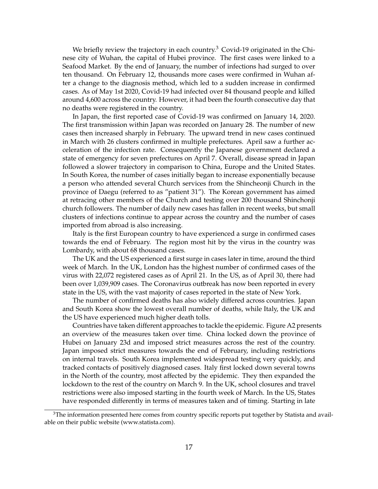We briefly review the trajectory in each country.<sup>[3](#page-18-0)</sup> Covid-19 originated in the Chinese city of Wuhan, the capital of Hubei province. The first cases were linked to a Seafood Market. By the end of January, the number of infections had surged to over ten thousand. On February 12, thousands more cases were confirmed in Wuhan after a change to the diagnosis method, which led to a sudden increase in confirmed cases. As of May 1st 2020, Covid-19 had infected over 84 thousand people and killed around 4,600 across the country. However, it had been the fourth consecutive day that no deaths were registered in the country.

In Japan, the first reported case of Covid-19 was confirmed on January 14, 2020. The first transmission within Japan was recorded on January 28. The number of new cases then increased sharply in February. The upward trend in new cases continued in March with 26 clusters confirmed in multiple prefectures. April saw a further acceleration of the infection rate. Consequently the Japanese government declared a state of emergency for seven prefectures on April 7. Overall, disease spread in Japan followed a slower trajectory in comparison to China, Europe and the United States. In South Korea, the number of cases initially began to increase exponentially because a person who attended several Church services from the Shincheonji Church in the province of Daegu (referred to as "patient 31"). The Korean government has aimed at retracing other members of the Church and testing over 200 thousand Shinchonji church followers. The number of daily new cases has fallen in recent weeks, but small clusters of infections continue to appear across the country and the number of cases imported from abroad is also increasing.

Italy is the first European country to have experienced a surge in confirmed cases towards the end of February. The region most hit by the virus in the country was Lombardy, with about 68 thousand cases.

The UK and the US experienced a first surge in cases later in time, around the third week of March. In the UK, London has the highest number of confirmed cases of the virus with 22,072 registered cases as of April 21. In the US, as of April 30, there had been over 1,039,909 cases. The Coronavirus outbreak has now been reported in every state in the US, with the vast majority of cases reported in the state of New York.

The number of confirmed deaths has also widely differed across countries. Japan and South Korea show the lowest overall number of deaths, while Italy, the UK and the US have experienced much higher death tolls.

Countries have taken different approaches to tackle the epidemic. [Figure A2](#page-19-0) presents an overview of the measures taken over time. China locked down the province of Hubei on January 23d and imposed strict measures across the rest of the country. Japan imposed strict measures towards the end of February, including restrictions on internal travels. South Korea implemented widespread testing very quickly, and tracked contacts of positively diagnosed cases. Italy first locked down several towns in the North of the country, most affected by the epidemic. They then expanded the lockdown to the rest of the country on March 9. In the UK, school closures and travel restrictions were also imposed starting in the fourth week of March. In the US, States have responded differently in terms of measures taken and of timing. Starting in late

<span id="page-18-0"></span> $3$ The information presented here comes from country specific reports put together by Statista and available on their public website (www.statista.com).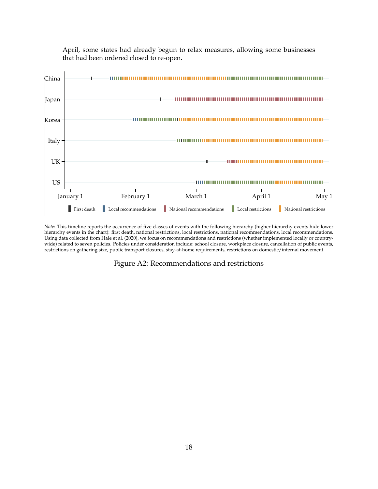<span id="page-19-0"></span>

April, some states had already begun to relax measures, allowing some businesses that had been ordered closed to re-open.

*Note:* This timeline reports the occurrence of five classes of events with the following hierarchy (higher hierarchy events hide lower hierarchy events in the chart): first death, national restrictions, local restrictions, national recommendations, local recommendations. Using data collected from [Hale et al.](#page-16-4) [\(2020\)](#page-16-4), we focus on recommendations and restrictions (whether implemented locally or countrywide) related to seven policies. Policies under consideration include: school closure, workplace closure, cancellation of public events, restrictions on gathering size, public transport closures, stay-at-home requirements, restrictions on domestic/internal movement.

Figure A2: Recommendations and restrictions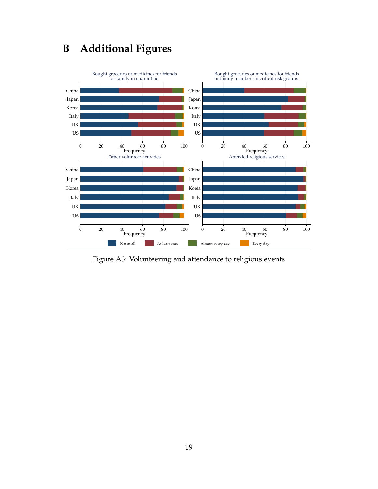# **B Additional Figures**

<span id="page-20-0"></span>

Figure A3: Volunteering and attendance to religious events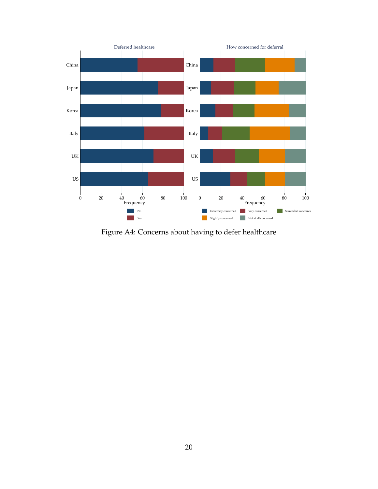<span id="page-21-0"></span>

Figure A4: Concerns about having to defer healthcare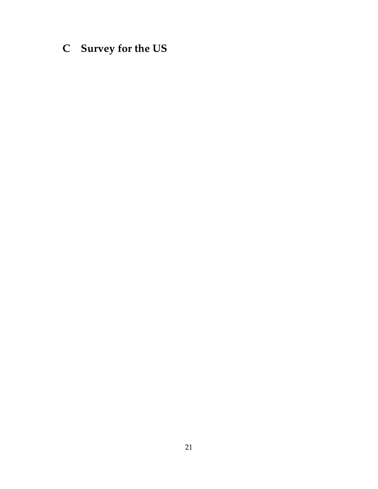# <span id="page-22-0"></span>**C Survey for the US**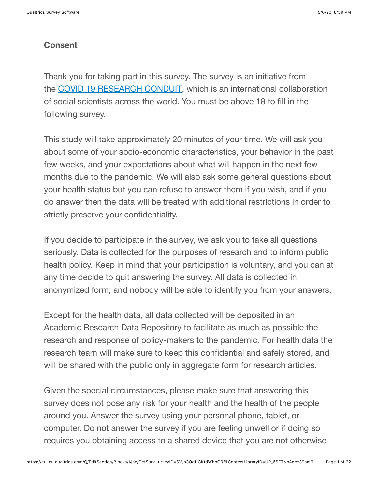### **Consent**

Thank you for taking part in this survey. The survey is an initiative from the COVID 19 RESEARCH CONDUIT, which is an international collaboration of social scientists across the world. You must be above 18 to fill in the following survey.

This study will take approximately 20 minutes of your time. We will ask you about some of your socio-economic characteristics, your behavior in the past few weeks, and your expectations about what will happen in the next few months due to the pandemic. We will also ask some general questions about your health status but you can refuse to answer them if you wish, and if you do answer then the data will be treated with additional restrictions in order to strictly preserve your confidentiality.

If you decide to participate in the survey, we ask you to take all questions seriously. Data is collected for the purposes of research and to inform public health policy. Keep in mind that your participation is voluntary, and you can at any time decide to quit answering the survey. All data is collected in anonymized form, and nobody will be able to identify you from your answers.

Except for the health data, all data collected will be deposited in an Academic Research Data Repository to facilitate as much as possible the research and response of policy-makers to the pandemic. For health data the research team will make sure to keep this confidential and safely stored, and will be shared with the public only in aggregate form for research articles.

Given the special circumstances, please make sure that answering this survey does not pose any risk for your health and the health of the people around you. Answer the survey using your personal phone, tablet, or computer. Do not answer the survey if you are feeling unwell or if doing so requires you obtaining access to a shared device that you are not otherwise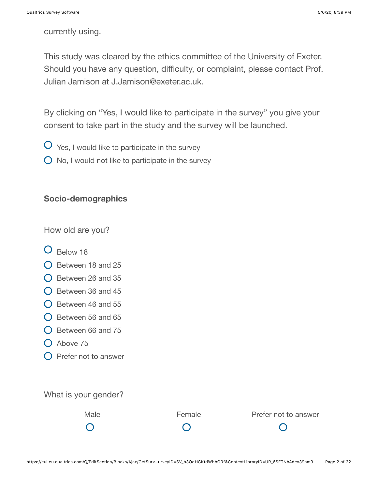currently using.

This study was cleared by the ethics committee of the University of Exeter. Should you have any question, difficulty, or complaint, please contact Prof. Julian Jamison at J.Jamison@exeter.ac.uk.

By clicking on "Yes, I would like to participate in the survey" you give your consent to take part in the study and the survey will be launched.

- $\overline{O}$  Yes, I would like to participate in the survey
- $\bigcirc$  No, I would not like to participate in the survey

#### **Socio-demographics**

How old are you?

- **O** Below 18
- $\bigcirc$  Between 18 and 25
- $\bigcirc$  Between 26 and 35
- $\bigcirc$  Between 36 and 45
- $\bigcirc$  Between 46 and 55
- $\bigcirc$  Between 56 and 65
- $\bigcirc$  Between 66 and 75
- $O$  Above 75
- $\bigcirc$  Prefer not to answer

What is your gender?

Male **Female** Prefer not to answer  $\bigcap$  $\bigcap$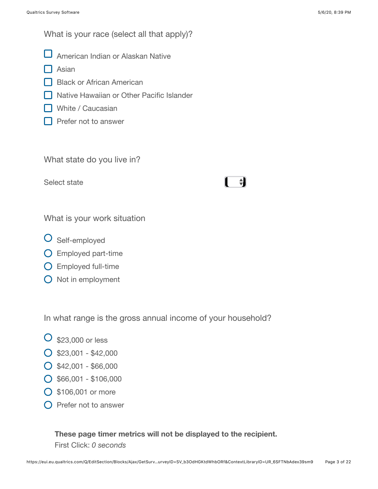What is your race (select all that apply)?

- American Indian or Alaskan Native
- $\Box$  Asian
- Black or African American
- **□ Native Hawaiian or Other Pacific Islander**
- White / Caucasian
- **Prefer not to answer**

What state do you live in?

Select state

## $\ddot{\phantom{a}}$

What is your work situation

- O Self-employed
- Employed part-time
- Employed full-time
- $\bigcirc$  Not in employment

In what range is the gross annual income of your household?

- $\overline{O}$  \$23,000 or less
- $O$  \$23,001 \$42,000
- $O$  \$42,001 \$66,000
- $\bigcirc$  \$66,001 \$106,000
- \$106,001 or more
- $\bigcap$  Prefer not to answer

### **These page timer metrics will not be displayed to the recipient.** First Click: *0 seconds*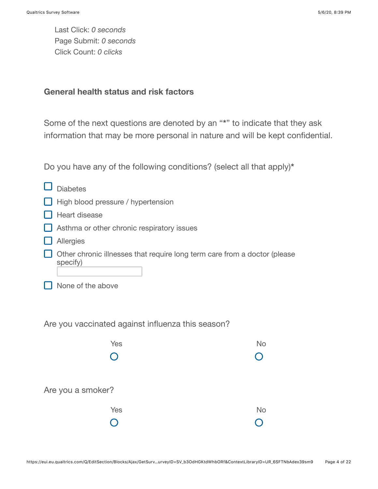Last Click: *0 seconds* Page Submit: *0 seconds* Click Count: *0 clicks*

#### **General health status and risk factors**

Some of the next questions are denoted by an "**\***" to indicate that they ask information that may be more personal in nature and will be kept confidential.

Do you have any of the following conditions? (select all that apply)**\***

| <b>Diabetes</b>                                                                       |           |  |  |  |  |  |
|---------------------------------------------------------------------------------------|-----------|--|--|--|--|--|
| High blood pressure / hypertension                                                    |           |  |  |  |  |  |
| Heart disease                                                                         |           |  |  |  |  |  |
| Asthma or other chronic respiratory issues                                            |           |  |  |  |  |  |
| Allergies                                                                             |           |  |  |  |  |  |
| Other chronic illnesses that require long term care from a doctor (please<br>specify) |           |  |  |  |  |  |
| None of the above                                                                     |           |  |  |  |  |  |
| Are you vaccinated against influenza this season?                                     |           |  |  |  |  |  |
| Yes                                                                                   | <b>No</b> |  |  |  |  |  |
|                                                                                       |           |  |  |  |  |  |
| Are you a smoker?                                                                     |           |  |  |  |  |  |
| Yes                                                                                   | <b>No</b> |  |  |  |  |  |
|                                                                                       |           |  |  |  |  |  |
|                                                                                       |           |  |  |  |  |  |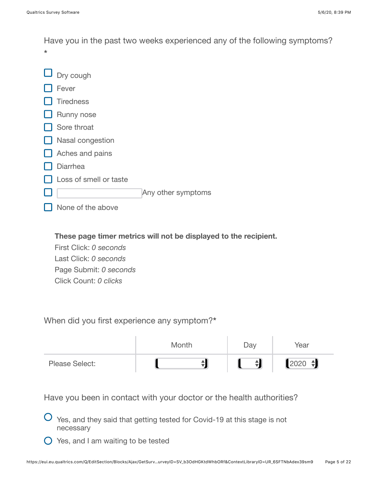Have you in the past two weeks experienced any of the following symptoms? **\***



**These page timer metrics will not be displayed to the recipient.**

First Click: *0 seconds* Last Click: *0 seconds* Page Submit: *0 seconds* Click Count: *0 clicks*

When did you first experience any symptom?**\***

|                       | Month | Day | Year                   |
|-----------------------|-------|-----|------------------------|
| <b>Please Select:</b> |       | 쉬   | $2020$ $\triangleleft$ |

Have you been in contact with your doctor or the health authorities?

Yes, and they said that getting tested for Covid-19 at this stage is not necessary

 $\bigcirc$  Yes, and I am waiting to be tested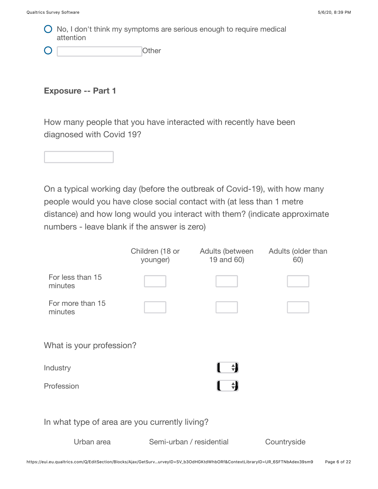$\bigcirc$  No, I don't think my symptoms are serious enough to require medical attention

| C | Other |
|---|-------|
|   |       |

**Exposure -- Part 1**

How many people that you have interacted with recently have been diagnosed with Covid 19?



On a typical working day (before the outbreak of Covid-19), with how many people would you have close social contact with (at less than 1 metre distance) and how long would you interact with them? (indicate approximate numbers - leave blank if the answer is zero)

|                                                | Children (18 or<br>younger) | Adults (between<br>19 and 60) | Adults (older than<br>60) |  |  |
|------------------------------------------------|-----------------------------|-------------------------------|---------------------------|--|--|
| For less than 15<br>minutes                    |                             |                               |                           |  |  |
| For more than 15<br>minutes                    |                             |                               |                           |  |  |
| What is your profession?                       |                             |                               |                           |  |  |
| Industry                                       |                             |                               |                           |  |  |
| Profession                                     |                             | $\div$                        |                           |  |  |
| In what type of area are you currently living? |                             |                               |                           |  |  |
| Urban area                                     | Semi-urban / residential    |                               | Countryside               |  |  |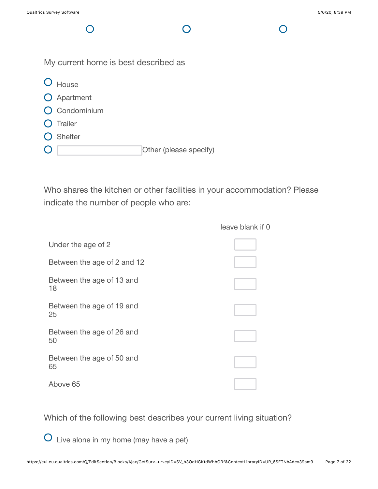$\bigcap$ 

My current home is best described as O House O Apartment **O** Condominium  $O$  Trailer

- O Shelter
- Other (please specify)  $\mathbf{O}$

Who shares the kitchen or other facilities in your accommodation? Please indicate the number of people who are:

|                                 | leave blank if 0 |
|---------------------------------|------------------|
| Under the age of 2              |                  |
| Between the age of 2 and 12     |                  |
| Between the age of 13 and<br>18 |                  |
| Between the age of 19 and<br>25 |                  |
| Between the age of 26 and<br>50 |                  |
| Between the age of 50 and<br>65 |                  |
| Above 65                        |                  |

Which of the following best describes your current living situation?

Live alone in my home (may have a pet)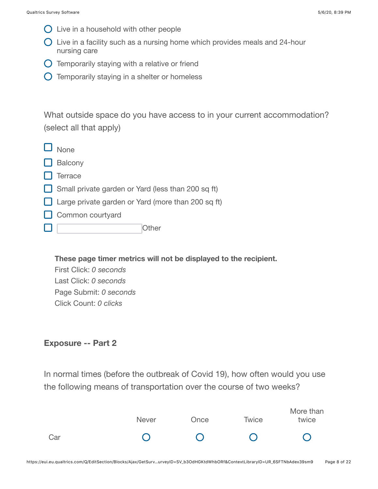- $\bigcirc$  Live in a household with other people
- $\bigcirc$  Live in a facility such as a nursing home which provides meals and 24-hour nursing care
- $\bigcirc$  Temporarily staying with a relative or friend
- $\bigcirc$  Temporarily staying in a shelter or homeless

What outside space do you have access to in your current accommodation? (select all that apply)

| $\Box$ None                                               |
|-----------------------------------------------------------|
| $\Box$ Balcony                                            |
| $\Box$ Terrace                                            |
| $\Box$ Small private garden or Yard (less than 200 sq ft) |
| $\Box$ Large private garden or Yard (more than 200 sq ft) |
| $\Box$ Common courtyard                                   |
| ( )ther                                                   |

**These page timer metrics will not be displayed to the recipient.**

First Click: *0 seconds* Last Click: *0 seconds* Page Submit: *0 seconds* Click Count: *0 clicks*

### **Exposure -- Part 2**

In normal times (before the outbreak of Covid 19), how often would you use the following means of transportation over the course of two weeks?

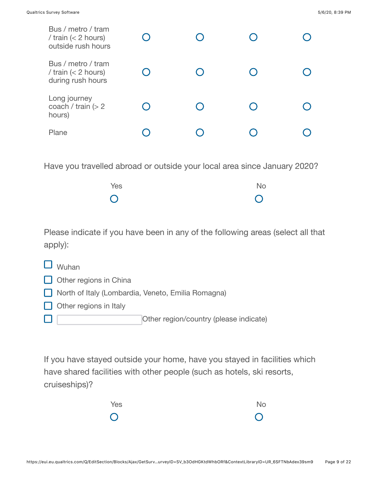| Bus / metro / tram<br>/ train $(< 2$ hours)<br>outside rush hours |  |  |
|-------------------------------------------------------------------|--|--|
| Bus / metro / tram<br>/ train $(< 2$ hours)<br>during rush hours  |  |  |
| Long journey<br>coach / train $(> 2$<br>hours)                    |  |  |
| Plane                                                             |  |  |

Have you travelled abroad or outside your local area since January 2020?

| Yes        | No             |
|------------|----------------|
| $\bigcirc$ | $\overline{O}$ |

Please indicate if you have been in any of the following areas (select all that apply):

| $\Box$ Wuhan                  |
|-------------------------------|
| $\Box$ Other regions in China |

- North of Italy (Lombardia, Veneto, Emilia Romagna)
- $\Box$  Other regions in Italy

Other region/country (please indicate)  $\Box$ 

If you have stayed outside your home, have you stayed in facilities which have shared facilities with other people (such as hotels, ski resorts, cruiseships)?

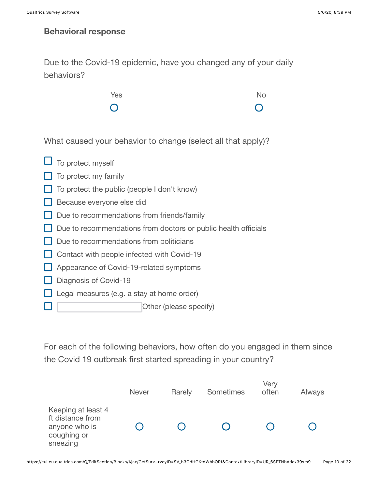$\Box$ 

H.

### **Behavioral response**

Due to the Covid-19 epidemic, have you changed any of your daily behaviors?



What caused your behavior to change (select all that apply)?

| $\Box$ To protect myself                                       |
|----------------------------------------------------------------|
| $\Box$ To protect my family                                    |
| $\Box$ To protect the public (people I don't know)             |
| Because everyone else did                                      |
| Due to recommendations from friends/family                     |
| Due to recommendations from doctors or public health officials |
| $\Box$ Due to recommendations from politicians                 |
| Contact with people infected with Covid-19                     |
| Appearance of Covid-19-related symptoms                        |
| Diagnosis of Covid-19                                          |
| Legal measures (e.g. a stay at home order)                     |
|                                                                |

Other (please specify)

For each of the following behaviors, how often do you engaged in them since the Covid 19 outbreak first started spreading in your country?

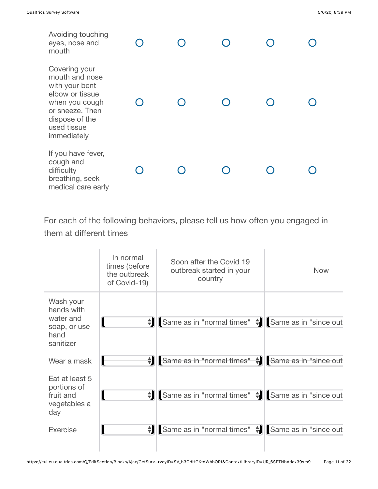| Avoiding touching<br>eyes, nose and<br>mouth                                                                                                              |  |  |  |
|-----------------------------------------------------------------------------------------------------------------------------------------------------------|--|--|--|
| Covering your<br>mouth and nose<br>with your bent<br>elbow or tissue<br>when you cough<br>or sneeze. Then<br>dispose of the<br>used tissue<br>immediately |  |  |  |
| If you have fever,<br>cough and<br>difficulty<br>breathing, seek<br>medical care early                                                                    |  |  |  |

For each of the following behaviors, please tell us how often you engaged in them at different times

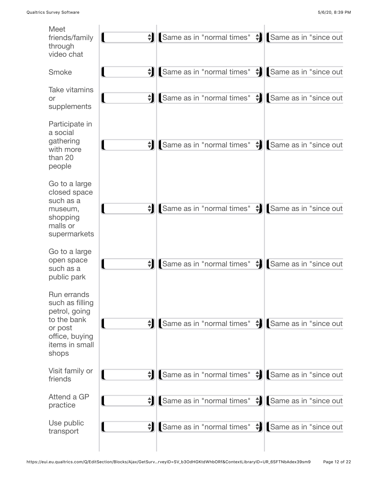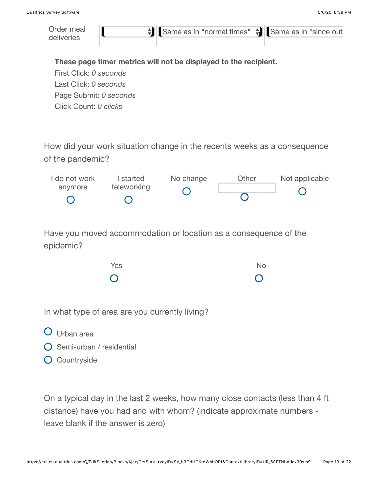

- Urban area
- $\bigcap$  Semi-urban / residential
- **O** Countryside

On a typical day in the last 2 weeks, how many close contacts (less than 4 ft distance) have you had and with whom? (indicate approximate numbers leave blank if the answer is zero)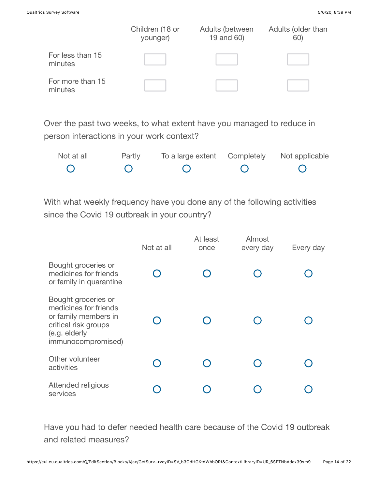|                             | Children (18 or<br>younger) | Adults (between<br>19 and 60) | Adults (older than<br>60) |
|-----------------------------|-----------------------------|-------------------------------|---------------------------|
| For less than 15<br>minutes |                             |                               |                           |
| For more than 15<br>minutes |                             |                               |                           |

Over the past two weeks, to what extent have you managed to reduce in person interactions in your work context?

| Not at all | Partly | To a large extent Completely Not applicable |  |
|------------|--------|---------------------------------------------|--|
|            |        |                                             |  |

With what weekly frequency have you done any of the following activities since the Covid 19 outbreak in your country?

|                                                                                                                                     | Not at all | At least<br>once | Almost<br>every day | Every day |
|-------------------------------------------------------------------------------------------------------------------------------------|------------|------------------|---------------------|-----------|
| Bought groceries or<br>medicines for friends<br>or family in quarantine                                                             |            |                  |                     |           |
| Bought groceries or<br>medicines for friends<br>or family members in<br>critical risk groups<br>(e.g. elderly<br>immunocompromised) |            |                  |                     |           |
| Other volunteer<br>activities                                                                                                       |            |                  |                     |           |
| Attended religious<br>services                                                                                                      |            |                  |                     |           |

Have you had to defer needed health care because of the Covid 19 outbreak and related measures?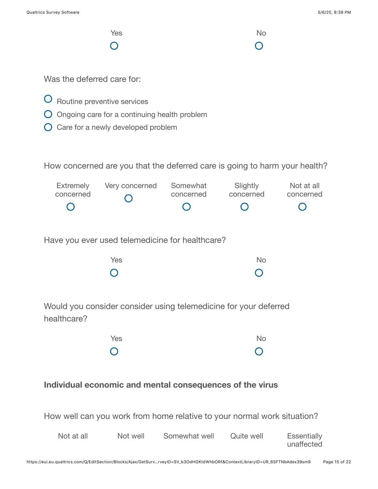unaffected

| Yes                           |                                                                                                                   |                       | <b>No</b>             |                         |
|-------------------------------|-------------------------------------------------------------------------------------------------------------------|-----------------------|-----------------------|-------------------------|
| Was the deferred care for:    |                                                                                                                   |                       |                       |                         |
|                               | Routine preventive services<br>Ongoing care for a continuing health problem<br>Care for a newly developed problem |                       |                       |                         |
|                               | How concerned are you that the deferred care is going to harm your health?                                        |                       |                       |                         |
| <b>Extremely</b><br>concerned | Very concerned                                                                                                    | Somewhat<br>concerned | Slightly<br>concerned | Not at all<br>concerned |
|                               | Have you ever used telemedicine for healthcare?                                                                   |                       |                       |                         |
|                               | Yes                                                                                                               |                       | <b>No</b>             |                         |
| healthcare?                   | Would you consider consider using telemedicine for your deferred                                                  |                       |                       |                         |
|                               | Yes                                                                                                               |                       | <b>No</b>             |                         |
|                               | Individual economic and mental consequences of the virus                                                          |                       |                       |                         |
|                               | How well can you work from home relative to your normal work situation?                                           |                       |                       |                         |
| Not at all                    | Not well                                                                                                          | Somewhat well         | Quite well            | <b>Essentially</b>      |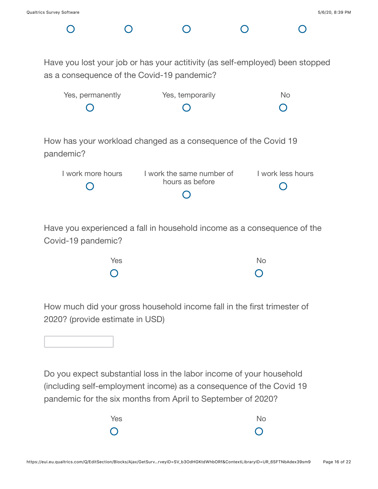$\cap$ 

Have you lost your job or has your actitivity (as self-employed) been stopped as a consequence of the Covid-19 pandemic?

| Yes, permanently | Yes, temporarily | Nο  |
|------------------|------------------|-----|
| $\overline{C}$   | $\overline{C}$   | - O |

How has your workload changed as a consequence of the Covid 19 pandemic?

| I work more hours | I work the same number of | I work less hours |
|-------------------|---------------------------|-------------------|
|                   | hours as before           |                   |
|                   |                           |                   |

Have you experienced a fall in household income as a consequence of the Covid-19 pandemic?

| Yes            | No             |
|----------------|----------------|
| $\overline{O}$ | $\overline{O}$ |

How much did your gross household income fall in the first trimester of 2020? (provide estimate in USD)

Do you expect substantial loss in the labor income of your household (including self-employment income) as a consequence of the Covid 19 pandemic for the six months from April to September of 2020?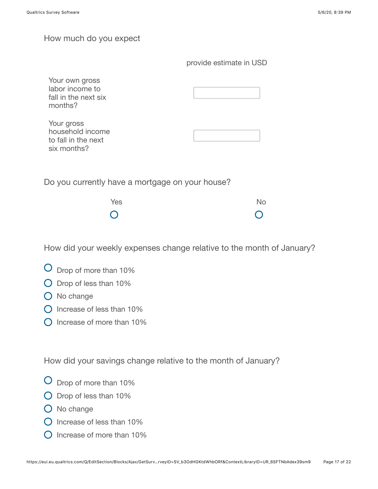#### How much do you expect

| Your own gross<br>labor income to<br>fall in the next six<br>months? |  |
|----------------------------------------------------------------------|--|
| Your gross<br>household income<br>to fall in the next<br>six months? |  |
|                                                                      |  |

Do you currently have a mortgage on your house?

| Yes        | No             |
|------------|----------------|
| $\bigcirc$ | $\overline{O}$ |

How did your weekly expenses change relative to the month of January?

- Drop of more than 10%
- Drop of less than 10%
- O No change
- $\bigcap$  Increase of less than 10%
- O Increase of more than 10%

How did your savings change relative to the month of January?

- Drop of more than 10%
- Drop of less than 10%
- O No change
- $\Omega$  Increase of less than 10%
- $\bigcirc$  Increase of more than 10%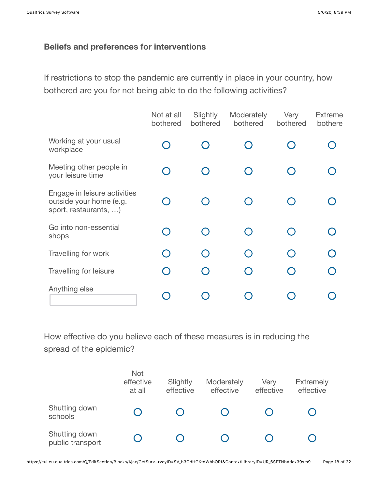### **Beliefs and preferences for interventions**

If restrictions to stop the pandemic are currently in place in your country, how bothered are you for not being able to do the following activities?

|                                                                                  | Not at all<br>bothered | Slightly<br>bothered | Moderately<br>bothered   | Very<br>bothered | <b>Extreme</b><br>bothere |
|----------------------------------------------------------------------------------|------------------------|----------------------|--------------------------|------------------|---------------------------|
| Working at your usual<br>workplace                                               |                        |                      | $\overline{\phantom{0}}$ |                  |                           |
| Meeting other people in<br>your leisure time                                     |                        |                      | $\bigcap$                |                  |                           |
| Engage in leisure activities<br>outside your home (e.g.<br>sport, restaurants, ) |                        |                      | $\bigcap$                |                  |                           |
| Go into non-essential<br>shops                                                   |                        |                      | $\bigcap$                |                  |                           |
| Travelling for work                                                              |                        |                      | ∩                        |                  |                           |
| Travelling for leisure                                                           |                        |                      | $\bigcap$                |                  |                           |
| Anything else                                                                    |                        |                      |                          |                  |                           |

How effective do you believe each of these measures is in reducing the spread of the epidemic?

|                                   | Not<br>effective<br>at all | Slightly<br>effective | Moderately<br>effective | Very<br>effective | <b>Extremely</b><br>effective |
|-----------------------------------|----------------------------|-----------------------|-------------------------|-------------------|-------------------------------|
| Shutting down<br>schools          |                            |                       |                         |                   |                               |
| Shutting down<br>public transport |                            |                       |                         |                   |                               |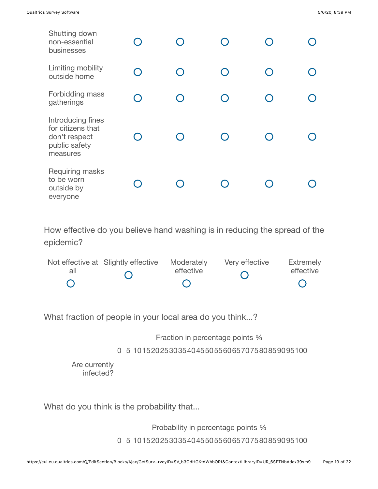| Shutting down<br>non-essential<br>businesses                                         |           |  |  |
|--------------------------------------------------------------------------------------|-----------|--|--|
| Limiting mobility<br>outside home                                                    | $\bigcap$ |  |  |
| Forbidding mass<br>gatherings                                                        |           |  |  |
| Introducing fines<br>for citizens that<br>don't respect<br>public safety<br>measures |           |  |  |
| Requiring masks<br>to be worn<br>outside by<br>everyone                              |           |  |  |

How effective do you believe hand washing is in reducing the spread of the epidemic?

|     | Not effective at Slightly effective | Moderately | Very effective | Extremely |
|-----|-------------------------------------|------------|----------------|-----------|
| all |                                     | effective  |                | effective |
|     |                                     |            |                |           |

What fraction of people in your local area do you think...?

Fraction in percentage points %

0 5 101520253035404550556065707580859095100

Are currently infected?

What do you think is the probability that...

Probability in percentage points %

0 5 101520253035404550556065707580859095100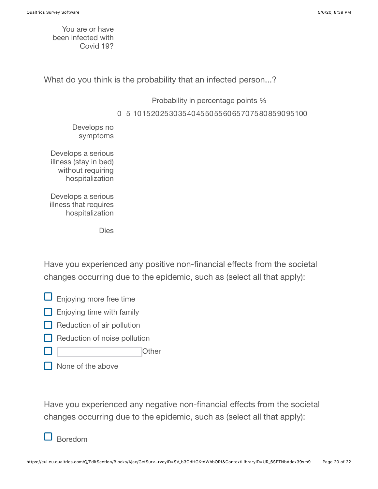You are or have been infected with Covid 19?

What do you think is the probability that an infected person...?

Probability in percentage points %

0 5 101520253035404550556065707580859095100

Develops no symptoms

Develops a serious illness (stay in bed) without requiring hospitalization

Develops a serious illness that requires hospitalization

Dies

Have you experienced any positive non-financial effects from the societal changes occurring due to the epidemic, such as (select all that apply):

- $\Box$  Enjoying more free time
- $\Box$  Enjoying time with family
- $\Box$  Reduction of air pollution
- Reduction of noise pollution
- **Other**
- None of the above

Have you experienced any negative non-financial effects from the societal changes occurring due to the epidemic, such as (select all that apply):

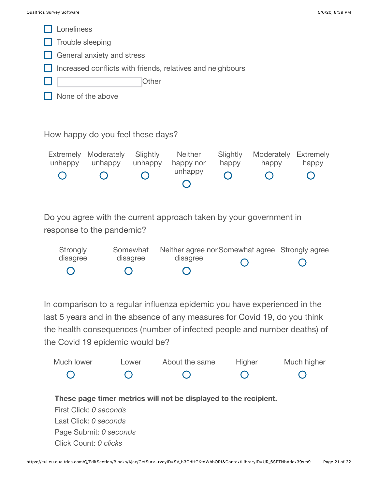

In comparison to a regular influenza epidemic you have experienced in the last 5 years and in the absence of any measures for Covid 19, do you think the health consequences (number of infected people and number deaths) of the Covid 19 epidemic would be?